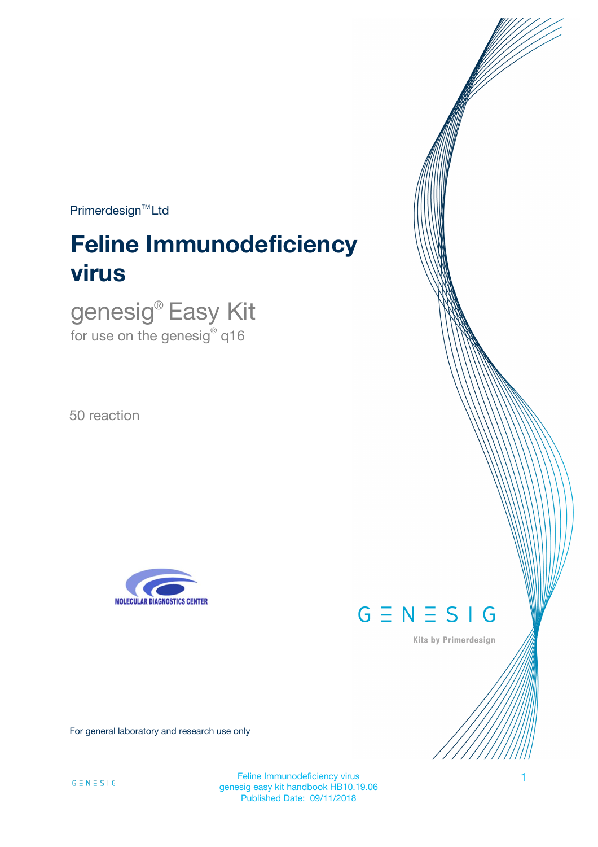$Primerdesign^{\text{TM}}$ Ltd

# **Feline Immunodeficiency virus**

genesig® Easy Kit for use on the genesig $^\circ$  q16

50 reaction





Kits by Primerdesign

For general laboratory and research use only

Feline Immunodeficiency virus 1 genesig easy kit handbook HB10.19.06 Published Date: 09/11/2018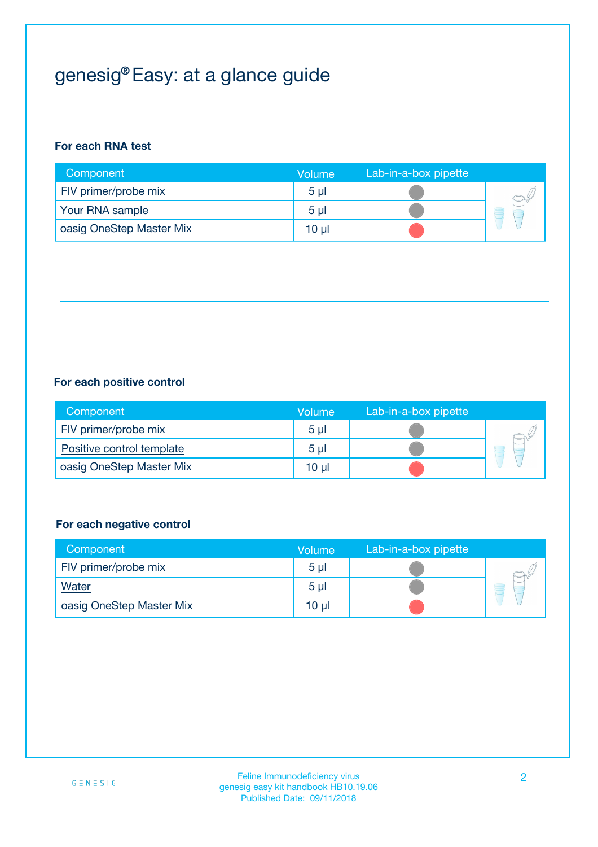## genesig® Easy: at a glance guide

#### **For each RNA test**

| Component                | <b>Volume</b>  | Lab-in-a-box pipette |  |
|--------------------------|----------------|----------------------|--|
| FIV primer/probe mix     | 5 <sub>µ</sub> |                      |  |
| Your RNA sample          | 5 <sub>µ</sub> |                      |  |
| oasig OneStep Master Mix | 10 µl          |                      |  |

#### **For each positive control**

| Component                 | Volume         | Lab-in-a-box pipette |  |
|---------------------------|----------------|----------------------|--|
| FIV primer/probe mix      | 5 <sub>µ</sub> |                      |  |
| Positive control template | 5 <sub>µ</sub> |                      |  |
| oasig OneStep Master Mix  | 10 µl          |                      |  |

#### **For each negative control**

| Component                | Volume         | Lab-in-a-box pipette |   |
|--------------------------|----------------|----------------------|---|
| FIV primer/probe mix     | 5 <sub>µ</sub> |                      |   |
| <b>Water</b>             | 5 <sub>µ</sub> |                      | - |
| oasig OneStep Master Mix | 10 µl          |                      |   |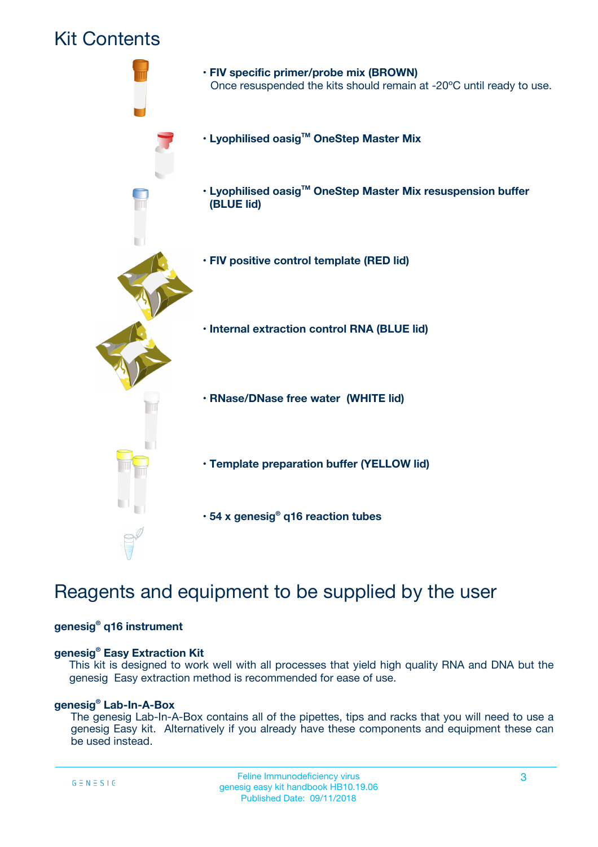### Kit Contents



## Reagents and equipment to be supplied by the user

#### **genesig® q16 instrument**

#### **genesig® Easy Extraction Kit**

This kit is designed to work well with all processes that yield high quality RNA and DNA but the genesig Easy extraction method is recommended for ease of use.

#### **genesig® Lab-In-A-Box**

The genesig Lab-In-A-Box contains all of the pipettes, tips and racks that you will need to use a genesig Easy kit. Alternatively if you already have these components and equipment these can be used instead.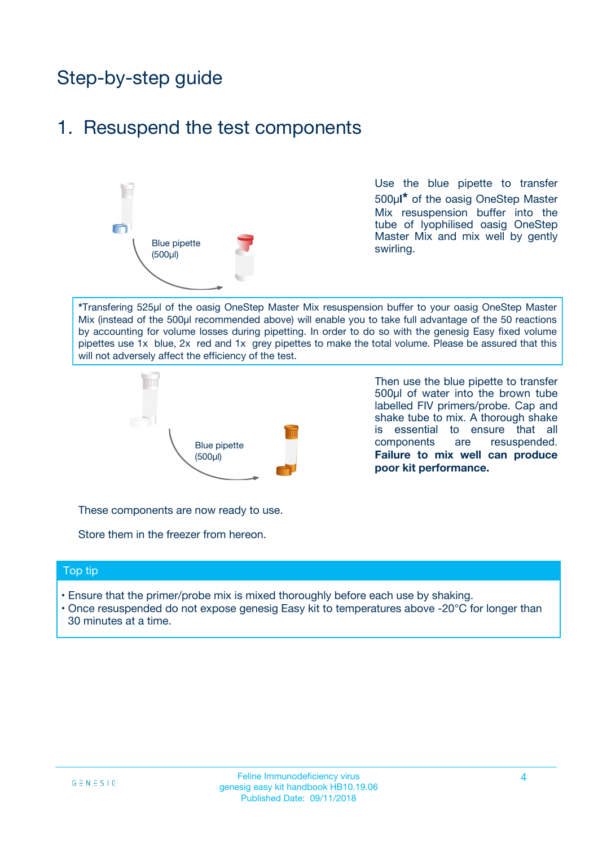## Step-by-step guide

### 1. Resuspend the test components



Use the blue pipette to transfer 500µ**l\*** of the oasig OneStep Master Mix resuspension buffer into the tube of lyophilised oasig OneStep Master Mix and mix well by gently swirling.

**\***Transfering 525µl of the oasig OneStep Master Mix resuspension buffer to your oasig OneStep Master Mix (instead of the 500µl recommended above) will enable you to take full advantage of the 50 reactions by accounting for volume losses during pipetting. In order to do so with the genesig Easy fixed volume pipettes use 1x blue, 2x red and 1x grey pipettes to make the total volume. Please be assured that this will not adversely affect the efficiency of the test.



Then use the blue pipette to transfer 500µl of water into the brown tube labelled FIV primers/probe. Cap and shake tube to mix. A thorough shake is essential to ensure that all components are resuspended. **Failure to mix well can produce poor kit performance.**

These components are now ready to use.

Store them in the freezer from hereon.

#### Top tip

- Ensure that the primer/probe mix is mixed thoroughly before each use by shaking.
- Once resuspended do not expose genesig Easy kit to temperatures above -20°C for longer than 30 minutes at a time.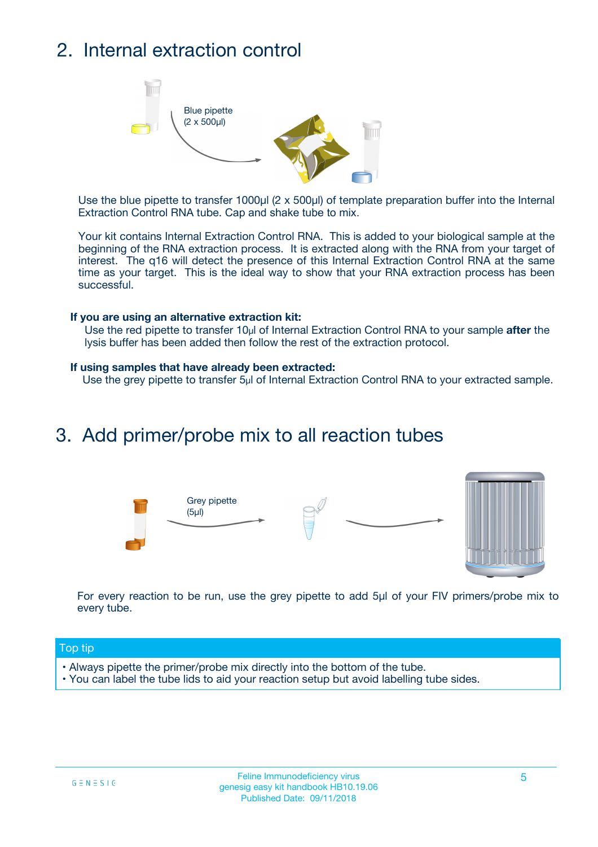## 2. Internal extraction control



Use the blue pipette to transfer 1000µl (2 x 500µl) of template preparation buffer into the Internal Extraction Control RNA tube. Cap and shake tube to mix.

Your kit contains Internal Extraction Control RNA. This is added to your biological sample at the beginning of the RNA extraction process. It is extracted along with the RNA from your target of interest. The q16 will detect the presence of this Internal Extraction Control RNA at the same time as your target. This is the ideal way to show that your RNA extraction process has been successful.

#### **If you are using an alternative extraction kit:**

Use the red pipette to transfer 10µl of Internal Extraction Control RNA to your sample **after** the lysis buffer has been added then follow the rest of the extraction protocol.

#### **If using samples that have already been extracted:**

Use the grey pipette to transfer 5µl of Internal Extraction Control RNA to your extracted sample.

### 3. Add primer/probe mix to all reaction tubes





For every reaction to be run, use the grey pipette to add 5µl of your FIV primers/probe mix to every tube.

#### Top tip

- Always pipette the primer/probe mix directly into the bottom of the tube.
- You can label the tube lids to aid your reaction setup but avoid labelling tube sides.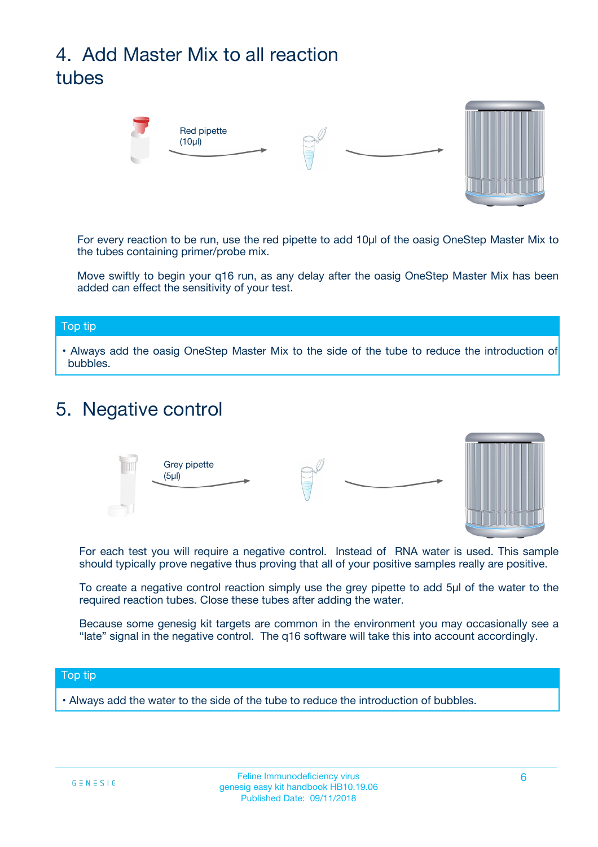## 4. Add Master Mix to all reaction tubes



For every reaction to be run, use the red pipette to add 10µl of the oasig OneStep Master Mix to the tubes containing primer/probe mix.

Move swiftly to begin your q16 run, as any delay after the oasig OneStep Master Mix has been added can effect the sensitivity of your test.

#### Top tip

**•** Always add the oasig OneStep Master Mix to the side of the tube to reduce the introduction of bubbles.

### 5. Negative control



For each test you will require a negative control. Instead of RNA water is used. This sample should typically prove negative thus proving that all of your positive samples really are positive.

To create a negative control reaction simply use the grey pipette to add 5µl of the water to the required reaction tubes. Close these tubes after adding the water.

Because some genesig kit targets are common in the environment you may occasionally see a "late" signal in the negative control. The q16 software will take this into account accordingly.

#### Top tip

**•** Always add the water to the side of the tube to reduce the introduction of bubbles.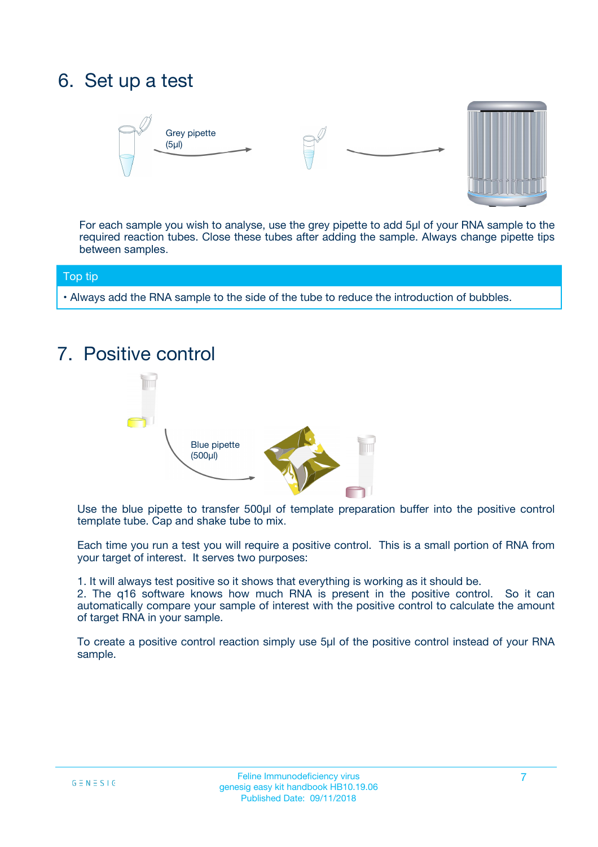## 6. Set up a test





For each sample you wish to analyse, use the grey pipette to add 5µl of your RNA sample to the required reaction tubes. Close these tubes after adding the sample. Always change pipette tips between samples.

#### Top tip

**•** Always add the RNA sample to the side of the tube to reduce the introduction of bubbles.

## 7. Positive control



Use the blue pipette to transfer 500µl of template preparation buffer into the positive control template tube. Cap and shake tube to mix.

Each time you run a test you will require a positive control. This is a small portion of RNA from your target of interest. It serves two purposes:

1. It will always test positive so it shows that everything is working as it should be.

2. The q16 software knows how much RNA is present in the positive control. So it can automatically compare your sample of interest with the positive control to calculate the amount of target RNA in your sample.

To create a positive control reaction simply use 5µl of the positive control instead of your RNA sample.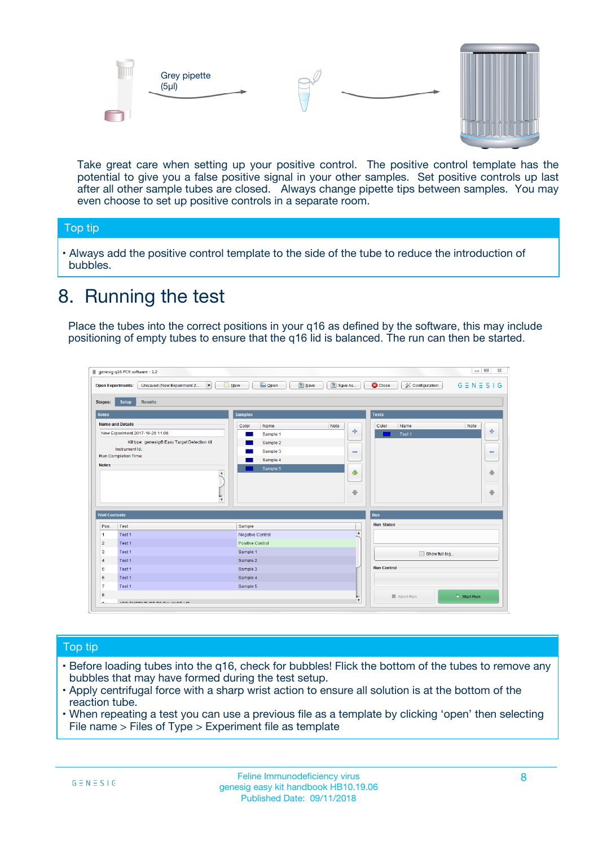



Take great care when setting up your positive control. The positive control template has the potential to give you a false positive signal in your other samples. Set positive controls up last after all other sample tubes are closed. Always change pipette tips between samples. You may even choose to set up positive controls in a separate room.

#### Top tip

**•** Always add the positive control template to the side of the tube to reduce the introduction of bubbles.

## 8. Running the test

Place the tubes into the correct positions in your q16 as defined by the software, this may include positioning of empty tubes to ensure that the q16 lid is balanced. The run can then be started.

|                      | genesig q16 PCR software - 1.2                                               |                                                | $= 0$<br>$\Sigma\!3$                                            |
|----------------------|------------------------------------------------------------------------------|------------------------------------------------|-----------------------------------------------------------------|
|                      | $\vert \cdot \vert$<br>Unsaved (New Experiment 2<br><b>Open Experiments:</b> | <b>E</b> Open<br>Save<br>Save As<br>$\Box$ New | <b>C</b> Close<br>$G \equiv N \equiv S \mid G$<br>Configuration |
| <b>Stages:</b>       | Setup<br><b>Results</b>                                                      |                                                |                                                                 |
| <b>Notes</b>         |                                                                              | <b>Samples</b>                                 | <b>Tests</b>                                                    |
|                      | <b>Name and Details</b>                                                      | Color<br>Note<br>Name                          | Name<br>Note<br>Color                                           |
|                      | New Experiment 2017-10-26 11:06                                              | على<br>Sample 1                                | $\ddot{\Phi}$<br>Test 1                                         |
|                      | Kit type: genesig® Easy Target Detection kit                                 | Sample 2                                       |                                                                 |
| Instrument Id.:      |                                                                              | Sample 3<br>$\equiv$                           | $\equiv$                                                        |
|                      | Run Completion Time:                                                         | Sample 4                                       |                                                                 |
| <b>Notes</b>         | $\blacktriangle$                                                             | Sample 5<br>♦                                  | 4                                                               |
|                      | $\overline{\mathbf{v}}$                                                      | ÷                                              | ⊕                                                               |
| <b>Well Contents</b> |                                                                              |                                                | Run                                                             |
| Pos.                 | Test                                                                         | Sample                                         | <b>Run Status</b>                                               |
| $\blacktriangleleft$ | Test 1                                                                       | $\blacktriangle$<br>Negative Control           |                                                                 |
| $\overline{2}$       | Test 1                                                                       | <b>Positive Control</b>                        |                                                                 |
| 3                    | Test 1                                                                       | Sample 1                                       | Show full log                                                   |
| $\overline{4}$       | Test 1                                                                       | Sample 2                                       |                                                                 |
| 5                    | Test 1                                                                       | Sample 3                                       | <b>Run Control</b>                                              |
| 6                    | Test 1                                                                       | Sample 4                                       |                                                                 |
| $\overline{7}$       | Test 1                                                                       | Sample 5                                       |                                                                 |
| 8                    |                                                                              |                                                | $\triangleright$ Start Run<br>Abort Run                         |
|                      | <b>INN FURTY TURE TO BUILDING UP.</b>                                        | $\pmb{\triangledown}$                          |                                                                 |

#### Top tip

- Before loading tubes into the q16, check for bubbles! Flick the bottom of the tubes to remove any bubbles that may have formed during the test setup.
- Apply centrifugal force with a sharp wrist action to ensure all solution is at the bottom of the reaction tube.
- When repeating a test you can use a previous file as a template by clicking 'open' then selecting File name > Files of Type > Experiment file as template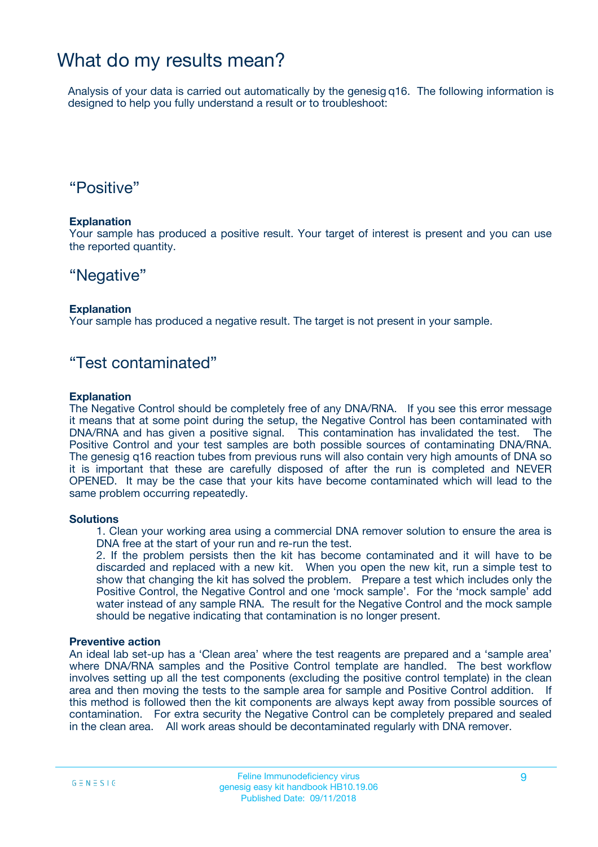### What do my results mean?

Analysis of your data is carried out automatically by the genesig q16. The following information is designed to help you fully understand a result or to troubleshoot:

### "Positive"

#### **Explanation**

Your sample has produced a positive result. Your target of interest is present and you can use the reported quantity.

### "Negative"

#### **Explanation**

Your sample has produced a negative result. The target is not present in your sample.

### "Test contaminated"

#### **Explanation**

The Negative Control should be completely free of any DNA/RNA. If you see this error message it means that at some point during the setup, the Negative Control has been contaminated with DNA/RNA and has given a positive signal. This contamination has invalidated the test. The Positive Control and your test samples are both possible sources of contaminating DNA/RNA. The genesig q16 reaction tubes from previous runs will also contain very high amounts of DNA so it is important that these are carefully disposed of after the run is completed and NEVER OPENED. It may be the case that your kits have become contaminated which will lead to the same problem occurring repeatedly.

#### **Solutions**

1. Clean your working area using a commercial DNA remover solution to ensure the area is DNA free at the start of your run and re-run the test.

2. If the problem persists then the kit has become contaminated and it will have to be discarded and replaced with a new kit. When you open the new kit, run a simple test to show that changing the kit has solved the problem. Prepare a test which includes only the Positive Control, the Negative Control and one 'mock sample'. For the 'mock sample' add water instead of any sample RNA. The result for the Negative Control and the mock sample should be negative indicating that contamination is no longer present.

#### **Preventive action**

An ideal lab set-up has a 'Clean area' where the test reagents are prepared and a 'sample area' where DNA/RNA samples and the Positive Control template are handled. The best workflow involves setting up all the test components (excluding the positive control template) in the clean area and then moving the tests to the sample area for sample and Positive Control addition. If this method is followed then the kit components are always kept away from possible sources of contamination. For extra security the Negative Control can be completely prepared and sealed in the clean area. All work areas should be decontaminated regularly with DNA remover.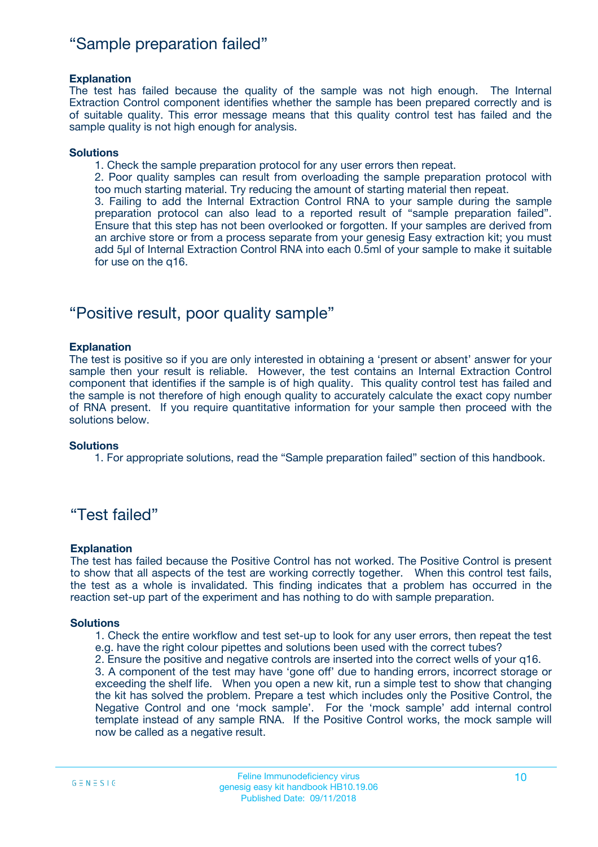### "Sample preparation failed"

#### **Explanation**

The test has failed because the quality of the sample was not high enough. The Internal Extraction Control component identifies whether the sample has been prepared correctly and is of suitable quality. This error message means that this quality control test has failed and the sample quality is not high enough for analysis.

#### **Solutions**

1. Check the sample preparation protocol for any user errors then repeat.

2. Poor quality samples can result from overloading the sample preparation protocol with too much starting material. Try reducing the amount of starting material then repeat.

3. Failing to add the Internal Extraction Control RNA to your sample during the sample preparation protocol can also lead to a reported result of "sample preparation failed". Ensure that this step has not been overlooked or forgotten. If your samples are derived from an archive store or from a process separate from your genesig Easy extraction kit; you must add 5µl of Internal Extraction Control RNA into each 0.5ml of your sample to make it suitable for use on the q16.

### "Positive result, poor quality sample"

#### **Explanation**

The test is positive so if you are only interested in obtaining a 'present or absent' answer for your sample then your result is reliable. However, the test contains an Internal Extraction Control component that identifies if the sample is of high quality. This quality control test has failed and the sample is not therefore of high enough quality to accurately calculate the exact copy number of RNA present. If you require quantitative information for your sample then proceed with the solutions below.

#### **Solutions**

1. For appropriate solutions, read the "Sample preparation failed" section of this handbook.

### "Test failed"

#### **Explanation**

The test has failed because the Positive Control has not worked. The Positive Control is present to show that all aspects of the test are working correctly together. When this control test fails, the test as a whole is invalidated. This finding indicates that a problem has occurred in the reaction set-up part of the experiment and has nothing to do with sample preparation.

#### **Solutions**

- 1. Check the entire workflow and test set-up to look for any user errors, then repeat the test e.g. have the right colour pipettes and solutions been used with the correct tubes?
- 2. Ensure the positive and negative controls are inserted into the correct wells of your q16.

3. A component of the test may have 'gone off' due to handing errors, incorrect storage or exceeding the shelf life. When you open a new kit, run a simple test to show that changing the kit has solved the problem. Prepare a test which includes only the Positive Control, the Negative Control and one 'mock sample'. For the 'mock sample' add internal control template instead of any sample RNA. If the Positive Control works, the mock sample will now be called as a negative result.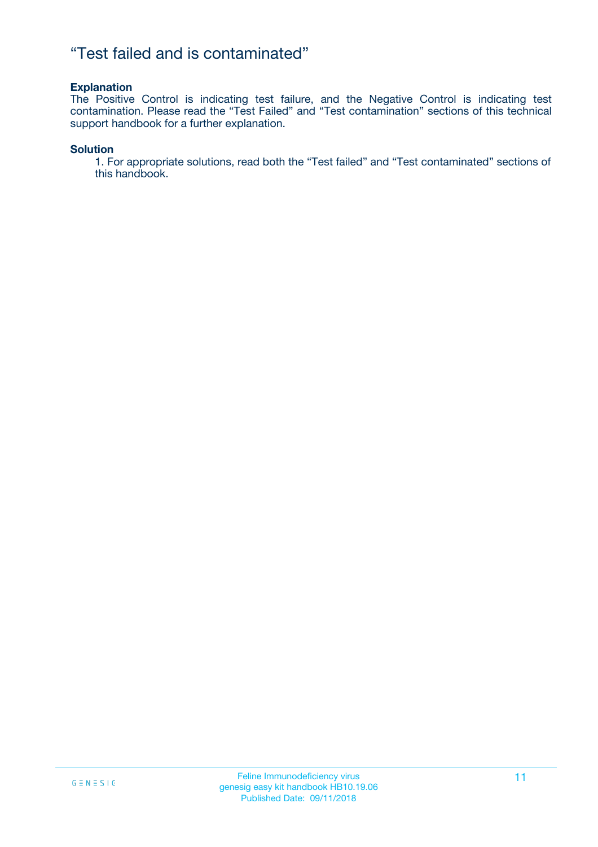### "Test failed and is contaminated"

#### **Explanation**

The Positive Control is indicating test failure, and the Negative Control is indicating test contamination. Please read the "Test Failed" and "Test contamination" sections of this technical support handbook for a further explanation.

#### **Solution**

1. For appropriate solutions, read both the "Test failed" and "Test contaminated" sections of this handbook.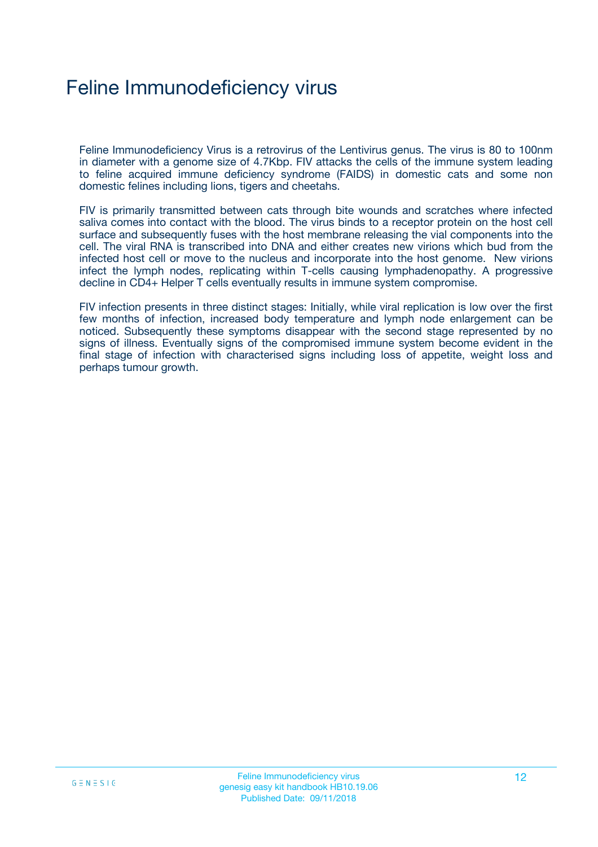## Feline Immunodeficiency virus

Feline Immunodeficiency Virus is a retrovirus of the Lentivirus genus. The virus is 80 to 100nm in diameter with a genome size of 4.7Kbp. FIV attacks the cells of the immune system leading to feline acquired immune deficiency syndrome (FAIDS) in domestic cats and some non domestic felines including lions, tigers and cheetahs.

FIV is primarily transmitted between cats through bite wounds and scratches where infected saliva comes into contact with the blood. The virus binds to a receptor protein on the host cell surface and subsequently fuses with the host membrane releasing the vial components into the cell. The viral RNA is transcribed into DNA and either creates new virions which bud from the infected host cell or move to the nucleus and incorporate into the host genome. New virions infect the lymph nodes, replicating within T-cells causing lymphadenopathy. A progressive decline in CD4+ Helper T cells eventually results in immune system compromise.

FIV infection presents in three distinct stages: Initially, while viral replication is low over the first few months of infection, increased body temperature and lymph node enlargement can be noticed. Subsequently these symptoms disappear with the second stage represented by no signs of illness. Eventually signs of the compromised immune system become evident in the final stage of infection with characterised signs including loss of appetite, weight loss and perhaps tumour growth.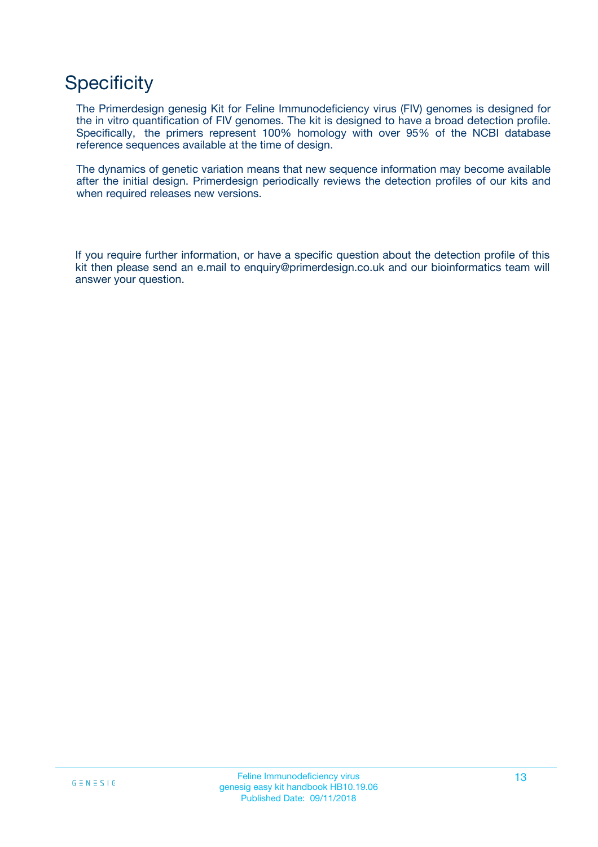## **Specificity**

The Primerdesign genesig Kit for Feline Immunodeficiency virus (FIV) genomes is designed for the in vitro quantification of FIV genomes. The kit is designed to have a broad detection profile. Specifically, the primers represent 100% homology with over 95% of the NCBI database reference sequences available at the time of design.

The dynamics of genetic variation means that new sequence information may become available after the initial design. Primerdesign periodically reviews the detection profiles of our kits and when required releases new versions.

If you require further information, or have a specific question about the detection profile of this kit then please send an e.mail to enquiry@primerdesign.co.uk and our bioinformatics team will answer your question.